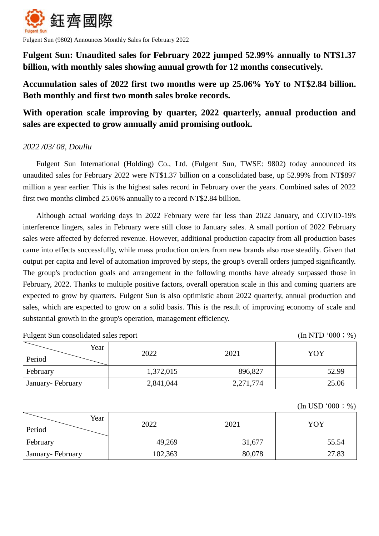

Fulgent Sun (9802) Announces Monthly Sales for February 2022

**Fulgent Sun: Unaudited sales for February 2022 jumped 52.99% annually to NT\$1.37 billion, with monthly sales showing annual growth for 12 months consecutively.** 

**Accumulation sales of 2022 first two months were up 25.06% YoY to NT\$2.84 billion. Both monthly and first two month sales broke records.**

## **With operation scale improving by quarter, 2022 quarterly, annual production and sales are expected to grow annually amid promising outlook.**

## *2022 /03/ 08, Douliu*

Fulgent Sun International (Holding) Co., Ltd. (Fulgent Sun, TWSE: 9802) today announced its unaudited sales for February 2022 were NT\$1.37 billion on a consolidated base, up 52.99% from NT\$897 million a year earlier. This is the highest sales record in February over the years. Combined sales of 2022 first two months climbed 25.06% annually to a record NT\$2.84 billion.

Although actual working days in 2022 February were far less than 2022 January, and COVID-19's interference lingers, sales in February were still close to January sales. A small portion of 2022 February sales were affected by deferred revenue. However, additional production capacity from all production bases came into effects successfully, while mass production orders from new brands also rose steadily. Given that output per capita and level of automation improved by steps, the group's overall orders jumped significantly. The group's production goals and arrangement in the following months have already surpassed those in February, 2022. Thanks to multiple positive factors, overall operation scale in this and coming quarters are expected to grow by quarters. Fulgent Sun is also optimistic about 2022 quarterly, annual production and sales, which are expected to grow on a solid basis. This is the result of improving economy of scale and substantial growth in the group's operation, management efficiency.

|                  |           |           | $\frac{1}{2}$ |
|------------------|-----------|-----------|---------------|
| Year<br>Period   | 2022      | 2021      | YOY           |
| February         | 1,372,015 | 896,827   | 52.99         |
| January-February | 2,841,044 | 2,271,774 | 25.06         |

Fulgent Sun consolidated sales report (In NTD '000; %)

 $(In$  USD '000; %)

| Year<br>Period   | 2022    | 2021   | YOY   |
|------------------|---------|--------|-------|
| February         | 49,269  | 31,677 | 55.54 |
| January-February | 102,363 | 80,078 | 27.83 |